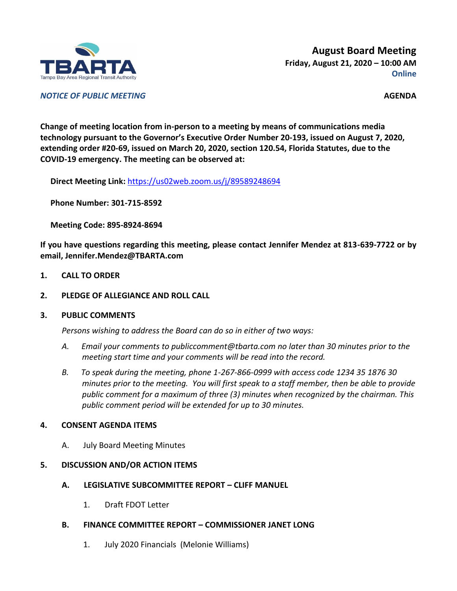

**August Board Meeting Friday, August 21, 2020 – 10:00 AM Online**

*NOTICE OF PUBLIC MEETING* **AGENDA**

**Change of meeting location from in-person to a meeting by means of communications media technology pursuant to the Governor's Executive Order Number 20-193, issued on August 7, 2020, extending order #20-69, issued on March 20, 2020, section 120.54, Florida Statutes, due to the COVID-19 emergency. The meeting can be observed at:**

**Direct Meeting Link:** <https://us02web.zoom.us/j/89589248694>

**Phone Number: 301-715-8592**

**Meeting Code: 895-8924-8694**

**If you have questions regarding this meeting, please contact Jennifer Mendez at 813-639-7722 or by email, Jennifer.Mendez@TBARTA.com**

- **1. CALL TO ORDER**
- **2. PLEDGE OF ALLEGIANCE AND ROLL CALL**

#### **3. PUBLIC COMMENTS**

*Persons wishing to address the Board can do so in either of two ways:*

- *A. Email your comments to publiccomment@tbarta.com no later than 30 minutes prior to the meeting start time and your comments will be read into the record.*
- *B. To speak during the meeting, phone 1-267-866-0999 with access code 1234 35 1876 30 minutes prior to the meeting. You will first speak to a staff member, then be able to provide public comment for a maximum of three (3) minutes when recognized by the chairman. This public comment period will be extended for up to 30 minutes.*

# **4. CONSENT AGENDA ITEMS**

A. July Board Meeting Minutes

# **5. DISCUSSION AND/OR ACTION ITEMS**

- **A. LEGISLATIVE SUBCOMMITTEE REPORT – CLIFF MANUEL**
	- 1. Draft FDOT Letter
- **B. FINANCE COMMITTEE REPORT – COMMISSIONER JANET LONG**
	- 1. July 2020 Financials (Melonie Williams)